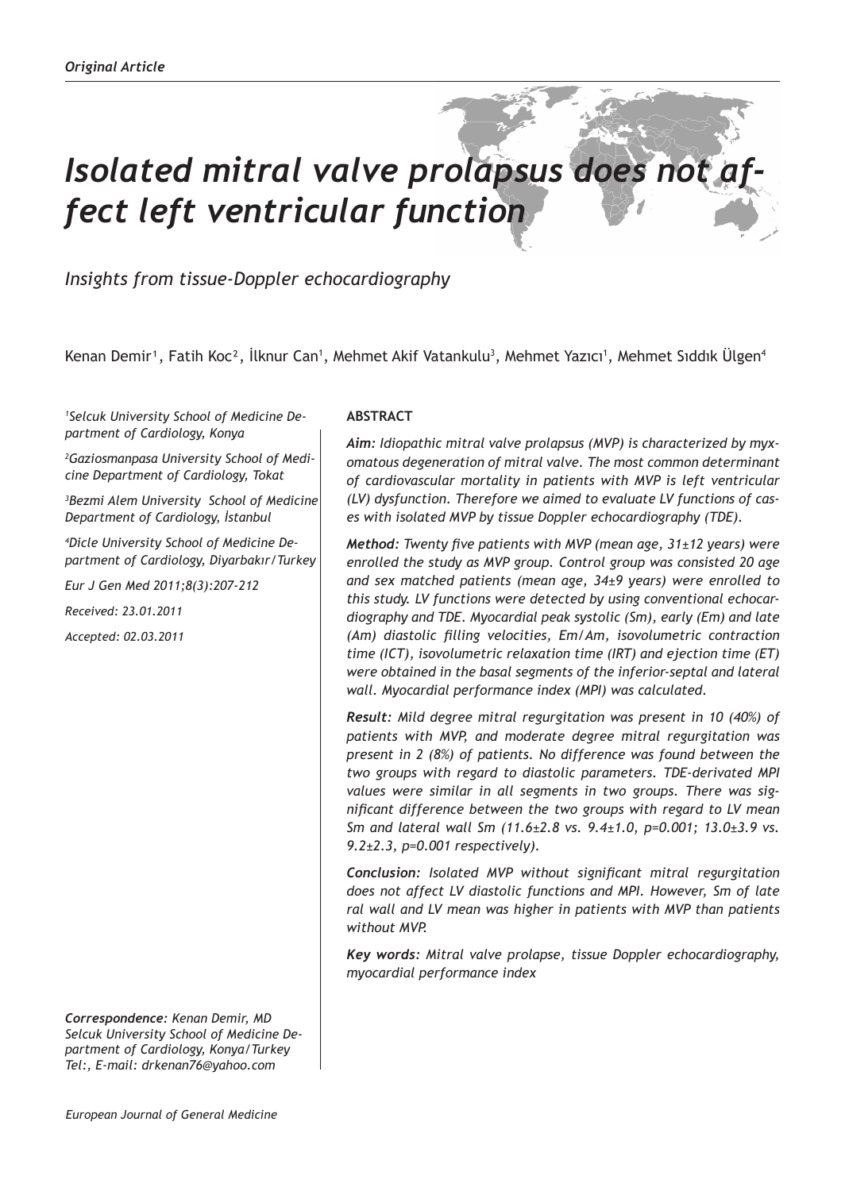# *Isolated mitral valve prolapsus does not affect left ventricular function*

*Insights from tissue-Doppler echocardiography* 

Kenan Demir<sup>1</sup>, Fatih Koc<sup>2</sup>, İlknur Can<sup>1</sup>, Mehmet Akif Vatankulu<sup>3</sup>, Mehmet Yazıcı<sup>1</sup>, Mehmet Sıddık Ülgen<sup>4</sup>

*1 Selcuk University School of Medicine Department of Cardiology, Konya*

*2 Gaziosmanpasa University School of Medicine Department of Cardiology, Tokat*

*3 Bezmi Alem University School of Medicine Department of Cardiology, İstanbul*

*4 Dicle University School of Medicine Department of Cardiology, Diyarbakır/Turkey*

*Eur J Gen Med 2011;8(3):207-212*

*Received: 23.01.2011*

*Accepted: 02.03.2011*

*Correspondence: Kenan Demir, MD Selcuk University School of Medicine Department of Cardiology, Konya/Turkey Tel:, E-mail: drkenan76@yahoo.com*

# **ABSTRACT**

*Aim: Idiopathic mitral valve prolapsus (MVP) is characterized by myxomatous degeneration of mitral valve. The most common determinant of cardiovascular mortality in patients with MVP is left ventricular (LV) dysfunction. Therefore we aimed to evaluate LV functions of cases with isolated MVP by tissue Doppler echocardiography (TDE).* 

*Method: Twenty five patients with MVP (mean age, 31±12 years) were enrolled the study as MVP group. Control group was consisted 20 age and sex matched patients (mean age, 34±9 years) were enrolled to this study. LV functions were detected by using conventional echocardiography and TDE. Myocardial peak systolic (Sm), early (Em) and late (Am) diastolic filling velocities, Em/Am, isovolumetric contraction time (ICT), isovolumetric relaxation time (IRT) and ejection time (ET) were obtained in the basal segments of the inferior-septal and lateral wall. Myocardial performance index (MPI) was calculated.* 

*Result: Mild degree mitral regurgitation was present in 10 (40%) of patients with MVP, and moderate degree mitral regurgitation was present in 2 (8%) of patients. No difference was found between the two groups with regard to diastolic parameters. TDE-derivated MPI values were similar in all segments in two groups. There was significant difference between the two groups with regard to LV mean Sm and lateral wall Sm (11.6±2.8 vs. 9.4±1.0, p=0.001; 13.0±3.9 vs. 9.2±2.3, p=0.001 respectively).*

*Conclusion: Isolated MVP without significant mitral regurgitation does not affect LV diastolic functions and MPI. However, Sm of late ral wall and LV mean was higher in patients with MVP than patients without MVP.*

*Key words: Mitral valve prolapse, tissue Doppler echocardiography, myocardial performance index*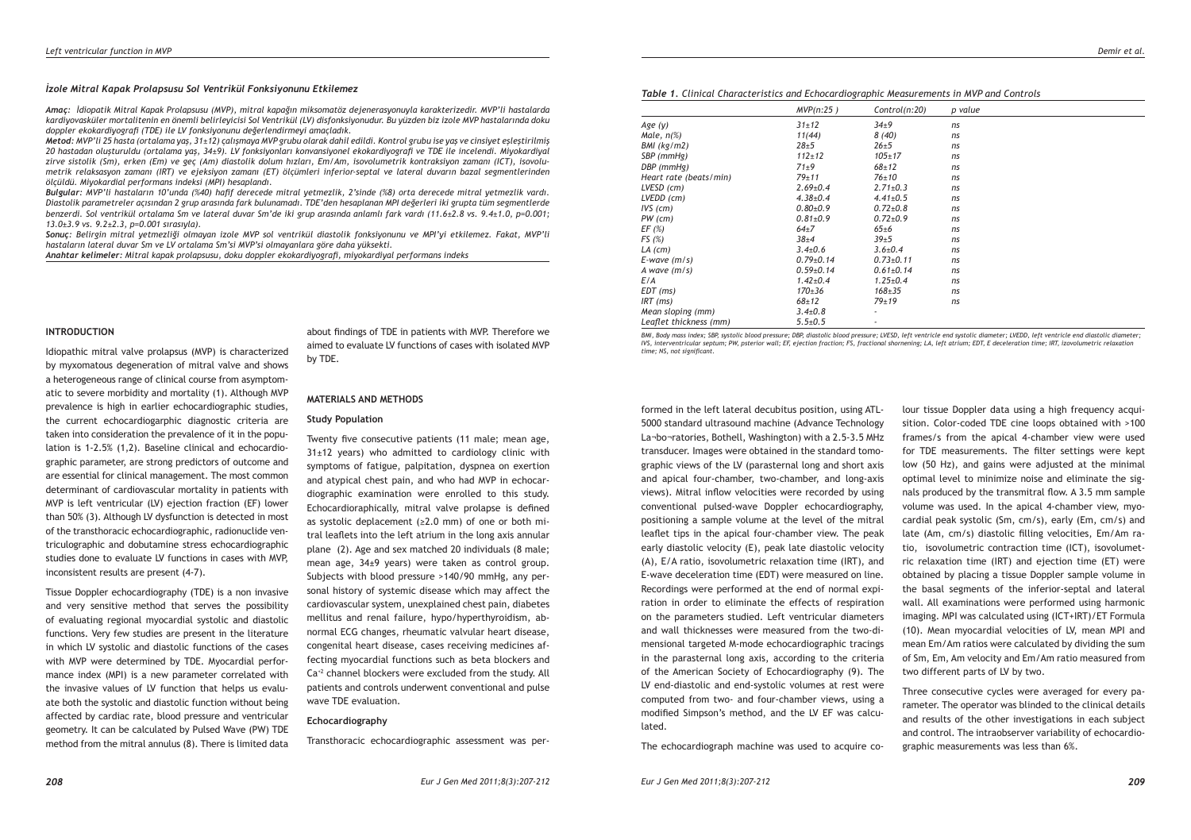#### *İzole Mitral Kapak Prolapsusu Sol Ventrikül Fonksiyonunu Etkilemez*

*Amaç: İdiopatik Mitral Kapak Prolapsusu (MVP), mitral kapağın miksomatöz dejenerasyonuyla karakterizedir. MVP'li hastalarda kardiyovasküler mortalitenin en önemli belirleyicisi Sol Ventrikül (LV) disfonksiyonudur. Bu yüzden biz izole MVP hastalarında doku doppler ekokardiyografi (TDE) ile LV fonksiyonunu değerlendirmeyi amaçladık.*

*Metod: MVP'li 25 hasta (ortalama yaş, 31±12) çalışmaya MVP grubu olarak dahil edildi. Kontrol grubu ise yaş ve cinsiyet eşleştirilmiş 20 hastadan oluşturuldu (ortalama yaş, 34±9). LV fonksiyonları konvansiyonel ekokardiyografi ve TDE ile incelendi. Miyokardiyal zirve sistolik (Sm), erken (Em) ve geç (Am) diastolik dolum hızları, Em/Am, isovolumetrik kontraksiyon zamanı (ICT), isovolumetrik relaksasyon zamanı (IRT) ve ejeksiyon zamanı (ET) ölçümleri inferior-septal ve lateral duvarın bazal segmentlerinden ölçüldü. Miyokardial performans indeksi (MPI) hesaplandı.* 

*Bulgular: MVP'li hastaların 10'unda (%40) hafif derecede mitral yetmezlik, 2'sinde (%8) orta derecede mitral yetmezlik vardı. Diastolik parametreler açısından 2 grup arasında fark bulunamadı. TDE'den hesaplanan MPI değerleri iki grupta tüm segmentlerde benzerdi. Sol ventrikül ortalama Sm ve lateral duvar Sm'de iki grup arasında anlamlı fark vardı (11.6±2.8 vs. 9.4±1.0, p=0.001; 13.0±3.9 vs. 9.2±2.3, p=0.001 sırasıyla).*

*Sonuç: Belirgin mitral yetmezliği olmayan izole MVP sol ventrikül diastolik fonksiyonunu ve MPI'yi etkilemez. Fakat, MVP'li hastaların lateral duvar Sm ve LV ortalama Sm'si MVP'si olmayanlara göre daha yüksekti.*

*Anahtar kelimeler: Mitral kapak prolapsusu, doku doppler ekokardiyografi, miyokardiyal performans indeks*

# **INTRODUCTION**

Idiopathic mitral valve prolapsus (MVP) is characterized by myxomatous degeneration of mitral valve and shows a heterogeneous range of clinical course from asymptomatic to severe morbidity and mortality (1). Although MVP prevalence is high in earlier echocardiographic studies, the current echocardiogarphic diagnostic criteria are taken into consideration the prevalence of it in the population is 1-2.5% (1,2). Baseline clinical and echocardiographic parameter, are strong predictors of outcome and are essential for clinical management. The most common determinant of cardiovascular mortality in patients with MVP is left ventricular (LV) ejection fraction (EF) lower than 50% (3). Although LV dysfunction is detected in most of the transthoracic echocardiographic, radionuclide ventriculographic and dobutamine stress echocardiographic studies done to evaluate LV functions in cases with MVP, inconsistent results are present (4-7).

Tissue Doppler echocardiography (TDE) is a non invasive and very sensitive method that serves the possibility of evaluating regional myocardial systolic and diastolic functions. Very few studies are present in the literature in which LV systolic and diastolic functions of the cases with MVP were determined by TDE. Myocardial performance index (MPI) is a new parameter correlated with the invasive values of LV function that helps us evaluate both the systolic and diastolic function without being affected by cardiac rate, blood pressure and ventricular geometry. It can be calculated by Pulsed Wave (PW) TDE method from the mitral annulus (8). There is limited data

about findings of TDE in patients with MVP. Therefore we aimed to evaluate LV functions of cases with isolated MVP by TDE.

## **MATERIALS AND METHODS**

## **Study Population**

Twenty five consecutive patients (11 male; mean age, 31±12 years) who admitted to cardiology clinic with symptoms of fatigue, palpitation, dyspnea on exertion and atypical chest pain, and who had MVP in echocardiographic examination were enrolled to this study. Echocardioraphically, mitral valve prolapse is defined as systolic deplacement (≥2.0 mm) of one or both mitral leaflets into the left atrium in the long axis annular plane (2). Age and sex matched 20 individuals (8 male; mean age, 34±9 years) were taken as control group. Subjects with blood pressure >140/90 mmHg, any personal history of systemic disease which may affect the cardiovascular system, unexplained chest pain, diabetes mellitus and renal failure, hypo/hyperthyroidism, abnormal ECG changes, rheumatic valvular heart disease, congenital heart disease, cases receiving medicines affecting myocardial functions such as beta blockers and Ca+2 channel blockers were excluded from the study. All patients and controls underwent conventional and pulse wave TDE evaluation.

# **Echocardiography**

Transthoracic echocardiographic assessment was per-

formed in the left lateral decubitus position, using ATL-5000 standard ultrasound machine (Advance Technology La¬bo¬ratories, Bothell, Washington) with a 2.5-3.5 MHz transducer. Images were obtained in the standard tomographic views of the LV (parasternal long and short axis and apical four-chamber, two-chamber, and long-axis views). Mitral inflow velocities were recorded by using conventional pulsed-wave Doppler echocardiography, positioning a sample volume at the level of the mitral leaflet tips in the apical four-chamber view. The peak early diastolic velocity (E), peak late diastolic velocity (A), E/A ratio, isovolumetric relaxation time (IRT), and E-wave deceleration time (EDT) were measured on line. Recordings were performed at the end of normal expiration in order to eliminate the effects of respiration on the parameters studied. Left ventricular diameters and wall thicknesses were measured from the two-dimensional targeted M-mode echocardiographic tracings in the parasternal long axis, according to the criteria of the American Society of Echocardiography (9). The LV end-diastolic and end-systolic volumes at rest were computed from two- and four-chamber views, using a modified Simpson's method, and the LV EF was calculated.

The echocardiograph machine was used to acquire co-

*Eur J Gen Med 2011;8(3):207-212*

lour tissue Doppler data using a high frequency acquisition. Color-coded TDE cine loops obtained with >100 frames/s from the apical 4-chamber view were used for TDE measurements. The filter settings were kept low (50 Hz), and gains were adjusted at the minimal optimal level to minimize noise and eliminate the signals produced by the transmitral flow. A 3.5 mm sample volume was used. In the apical 4-chamber view, myocardial peak systolic (Sm, cm/s), early (Em, cm/s) and late (Am, cm/s) diastolic filling velocities, Em/Am ratio, isovolumetric contraction time (ICT), isovolumetric relaxation time (IRT) and ejection time (ET) were obtained by placing a tissue Doppler sample volume in the basal segments of the inferior-septal and lateral wall. All examinations were performed using harmonic imaging. MPI was calculated using (ICT+IRT)/ET Formula (10). Mean myocardial velocities of LV, mean MPI and mean Em/Am ratios were calculated by dividing the sum of Sm, Em, Am velocity and Em/Am ratio measured from two different parts of LV by two.

Three consecutive cycles were averaged for every parameter. The operator was blinded to the clinical details and results of the other investigations in each subject and control. The intraobserver variability of echocardiographic measurements was less than 6%.

# *Table 1. Clinical Characteristics and Echocardiographic Measurements in MVP and Controls*

|                        | MVP(n:25)       | Control(n:20)   | p value |  |
|------------------------|-----------------|-----------------|---------|--|
| Age $(y)$              | $31 \pm 12$     | $34+9$          | ns      |  |
| Male, $n\ll 0$         | 11(44)          | 8(40)           | ns      |  |
| BMI (kg/m2)            | $28 + 5$        | $26 + 5$        | ns      |  |
| SBP (mmHg)             | $112 \pm 12$    | $105 \pm 17$    | ns      |  |
| DBP (mmHg)             | $71\pm9$        | $68 + 12$       | ns      |  |
| Heart rate (beats/min) | $79 + 11$       | $76 + 10$       | ns      |  |
| LVESD (cm)             | $2.69 \pm 0.4$  | $2.71 \pm 0.3$  | ns      |  |
| LVEDD (cm)             | $4.38{\pm}0.4$  | $4.41 \pm 0.5$  | ns      |  |
| $IVS$ (cm)             | $0.80{\pm}0.9$  | $0.72{\pm}0.8$  | ns      |  |
| $PW$ (cm)              | $0.81 \pm 0.9$  | $0.72{\pm}0.9$  | ns      |  |
| EF $(\%)$              | $64\pm7$        | $65\pm6$        | ns      |  |
| FS(%)                  | $38\pm4$        | $39 + 5$        | ns      |  |
| $LA$ (cm)              | $3.4 \pm 0.6$   | $3.6 \pm 0.4$   | ns      |  |
| $E$ -wave $(m/s)$      | $0.79{\pm}0.14$ | $0.73 \pm 0.11$ | ns      |  |
| A wave $(m/s)$         | $0.59{\pm}0.14$ | $0.61 \pm 0.14$ | ns      |  |
| E/A                    | $1.42 \pm 0.4$  | $1.25 \pm 0.4$  | ns      |  |
| $EDT$ (ms)             | $170 \pm 36$    | $168 + 35$      | ns      |  |
| $IRT$ (ms)             | $68 + 12$       | $79 + 19$       | ns      |  |
| Mean sloping (mm)      | $3.4 \pm 0.8$   |                 |         |  |
| Leaflet thickness (mm) | $5.5 \pm 0.5$   | ٠               |         |  |

*BMI, Body mass index; SBP, systolic blood pressure; DBP, diastolic blood pressure; LVESD, left ventricle end systolic diameter; LVEDD, left ventricle end diastolic diameter; IVS, interventricular septum; PW, psterior wall; EF, ejection fraction; FS, fractional shornening; LA, left atrium; EDT, E deceleration time; IRT, izovolumetric relaxation time; NS, not significant.*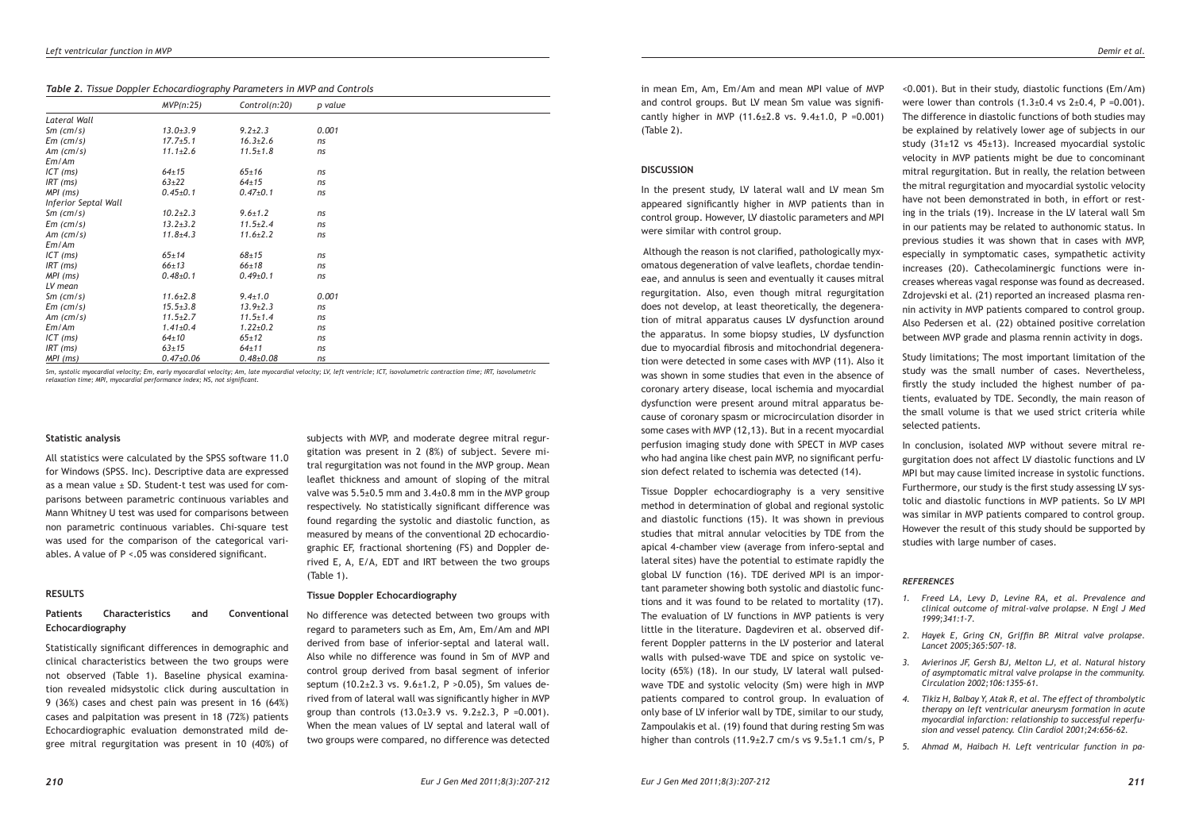# *Table 2. Tissue Doppler Echocardiography Parameters in MVP and Controls*

|                      | MVP(n:25)       | Control(n:20)   | p value |  |
|----------------------|-----------------|-----------------|---------|--|
| Lateral Wall         |                 |                 |         |  |
| $Sm$ (cm/s)          | $13.0 \pm 3.9$  | $9.2 \pm 2.3$   | 0.001   |  |
| $Em$ (cm/s)          | $17.7 \pm 5.1$  | $16.3 \pm 2.6$  | ns      |  |
| $Am$ (cm/s)          | $11.1 \pm 2.6$  | $11.5 \pm 1.8$  | ns      |  |
| Em/Am                |                 |                 |         |  |
| $ICT$ (ms)           | $64 \pm 15$     | $65 \pm 16$     | ns      |  |
| $IRT$ (ms)           | $63+22$         | $64 + 15$       | ns      |  |
| MPI (ms)             | $0.45 \pm 0.1$  | $0.47{\pm}0.1$  | ns      |  |
| Inferior Septal Wall |                 |                 |         |  |
| $Sm$ (cm/s)          | $10.2 \pm 2.3$  | $9.6 \pm 1.2$   | ns      |  |
| $Em$ (cm/s)          | $13.2 \pm 3.2$  | $11.5 \pm 2.4$  | ns      |  |
| $Am$ (cm/s)          | $11.8 \pm 4.3$  | $11.6 \pm 2.2$  | ns      |  |
| Em/Am                |                 |                 |         |  |
| $ICT$ (ms)           | $65 \pm 14$     | $68 + 15$       | ns      |  |
| $IRT$ (ms)           | $66 + 13$       | $66 \pm 18$     | ns      |  |
| MPI (ms)             | $0.48{\pm}0.1$  | $0.49{\pm}0.1$  | ns      |  |
| LV mean              |                 |                 |         |  |
| $Sm$ (cm/s)          | $11.6 \pm 2.8$  | $9.4 \pm 1.0$   | 0.001   |  |
| $Em$ (cm/s)          | $15.5 \pm 3.8$  | $13.9 \pm 2.3$  | ns      |  |
| $Am$ (cm/s)          | $11.5 \pm 2.7$  | $11.5 \pm 1.4$  | ns      |  |
| Em/Am                | $1.41 \pm 0.4$  | $1.22 \pm 0.2$  | ns      |  |
| $ICT$ (ms)           | $64 \pm 10$     | $65 \pm 12$     | ns      |  |
| $IRT$ (ms)           | $63 \pm 15$     | $64 + 11$       | ns      |  |
| MPI (ms)             | $0.47 \pm 0.06$ | $0.48 \pm 0.08$ | ns      |  |

*Sm, systolic myocardial velocity; Em, early myocardial velocity; Am, late myocardial velocity; LV, left ventricle; ICT, isovolumetric contraction time; IRT, isovolumetric relaxation time; MPI, myocardial performance index; NS, not significant.*

## **Statistic analysis**

All statistics were calculated by the SPSS software 11.0 for Windows (SPSS. Inc). Descriptive data are expressed as a mean value  $\pm$  SD. Student-t test was used for comparisons between parametric continuous variables and Mann Whitney U test was used for comparisons between non parametric continuous variables. Chi-square test was used for the comparison of the categorical variables. A value of P <.05 was considered significant.

# **RESULTS**

# **Patients Characteristics and Conventional Echocardiography**

Statistically significant differences in demographic and clinical characteristics between the two groups were not observed (Table 1). Baseline physical examination revealed midsystolic click during auscultation in 9 (36%) cases and chest pain was present in 16 (64%) cases and palpitation was present in 18 (72%) patients Echocardiographic evaluation demonstrated mild degree mitral regurgitation was present in 10 (40%) of

subjects with MVP, and moderate degree mitral regurgitation was present in 2 (8%) of subject. Severe mitral regurgitation was not found in the MVP group. Mean leaflet thickness and amount of sloping of the mitral valve was 5.5±0.5 mm and 3.4±0.8 mm in the MVP group respectively. No statistically significant difference was found regarding the systolic and diastolic function, as measured by means of the conventional 2D echocardiographic EF, fractional shortening (FS) and Doppler derived E, A, E/A, EDT and IRT between the two groups (Table 1).

## **Tissue Doppler Echocardiography**

No difference was detected between two groups with regard to parameters such as Em, Am, Em/Am and MPI derived from base of inferior-septal and lateral wall. Also while no difference was found in Sm of MVP and control group derived from basal segment of inferior septum (10.2±2.3 vs. 9.6±1.2, P >0.05), Sm values derived from of lateral wall was significantly higher in MVP group than controls  $(13.0\pm3.9 \text{ vs. } 9.2\pm2.3, \text{ P } = 0.001)$ . When the mean values of LV septal and lateral wall of two groups were compared, no difference was detected

in mean Em, Am, Em/Am and mean MPI value of MVP and control groups. But LV mean Sm value was significantly higher in MVP  $(11.6 \pm 2.8 \text{ vs. } 9.4 \pm 1.0, \text{ P } = 0.001)$ (Table 2).

#### **DISCUSSION**

In the present study, LV lateral wall and LV mean Sm appeared significantly higher in MVP patients than in control group. However, LV diastolic parameters and MPI were similar with control group.

 Although the reason is not clarified, pathologically myxomatous degeneration of valve leaflets, chordae tendineae, and annulus is seen and eventually it causes mitral regurgitation. Also, even though mitral regurgitation does not develop, at least theoretically, the degeneration of mitral apparatus causes LV dysfunction around the apparatus. In some biopsy studies, LV dysfunction due to myocardial fibrosis and mitochondrial degeneration were detected in some cases with MVP (11). Also it was shown in some studies that even in the absence of coronary artery disease, local ischemia and myocardial dysfunction were present around mitral apparatus because of coronary spasm or microcirculation disorder in some cases with MVP (12,13). But in a recent myocardial perfusion imaging study done with SPECT in MVP cases who had angina like chest pain MVP, no significant perfusion defect related to ischemia was detected (14).

Tissue Doppler echocardiography is a very sensitive method in determination of global and regional systolic and diastolic functions (15). It was shown in previous studies that mitral annular velocities by TDE from the apical 4-chamber view (average from infero-septal and lateral sites) have the potential to estimate rapidly the global LV function (16). TDE derived MPI is an important parameter showing both systolic and diastolic functions and it was found to be related to mortality (17). The evaluation of LV functions in MVP patients is very little in the literature. Dagdeviren et al. observed different Doppler patterns in the LV posterior and lateral walls with pulsed-wave TDE and spice on systolic velocity (65%) (18). In our study, LV lateral wall pulsedwave TDE and systolic velocity (Sm) were high in MVP patients compared to control group. In evaluation of only base of LV inferior wall by TDE, similar to our study, Zampoulakis et al. (19) found that during resting Sm was higher than controls (11.9±2.7 cm/s vs 9.5±1.1 cm/s, P

<0.001). But in their study, diastolic functions (Em/Am) were lower than controls  $(1.3\pm0.4 \text{ vs } 2\pm0.4, \text{ P } =0.001)$ . The difference in diastolic functions of both studies may be explained by relatively lower age of subjects in our study (31±12 vs 45±13). Increased myocardial systolic velocity in MVP patients might be due to concominant mitral regurgitation. But in really, the relation between the mitral regurgitation and myocardial systolic velocity have not been demonstrated in both, in effort or resting in the trials (19). Increase in the LV lateral wall Sm in our patients may be related to authonomic status. In previous studies it was shown that in cases with MVP, especially in symptomatic cases, sympathetic activity increases (20). Cathecolaminergic functions were increases whereas vagal response was found as decreased. Zdrojevski et al. (21) reported an increased plasma rennin activity in MVP patients compared to control group. Also Pedersen et al. (22) obtained positive correlation between MVP grade and plasma rennin activity in dogs.

Study limitations; The most important limitation of the study was the small number of cases. Nevertheless, firstly the study included the highest number of patients, evaluated by TDE. Secondly, the main reason of the small volume is that we used strict criteria while selected patients.

In conclusion, isolated MVP without severe mitral regurgitation does not affect LV diastolic functions and LV MPI but may cause limited increase in systolic functions. Furthermore, our study is the first study assessing LV systolic and diastolic functions in MVP patients. So LV MPI was similar in MVP patients compared to control group. However the result of this study should be supported by studies with large number of cases.

#### *REFERENCES*

- *1. Freed LA, Levy D, Levine RA, et al. Prevalence and clinical outcome of mitral-valve prolapse. N Engl J Med 1999;341:1-7.*
- *2. Hayek E, Gring CN, Griffin BP. Mitral valve prolapse. Lancet 2005;365:507-18.*
- *3. Avierinos JF, Gersh BJ, Melton LJ, et al. Natural history of asymptomatic mitral valve prolapse in the community. Circulation 2002;106:1355-61.*
- *4. Tikiz H, Balbay Y, Atak R, et al. The effect of thrombolytic therapy on left ventricular aneurysm formation in acute myocardial infarction: relationship to successful reperfusion and vessel patency. Clin Cardiol 2001;24:656-62.*
- *5. Ahmad M, Haibach H. Left ventricular function in pa-*